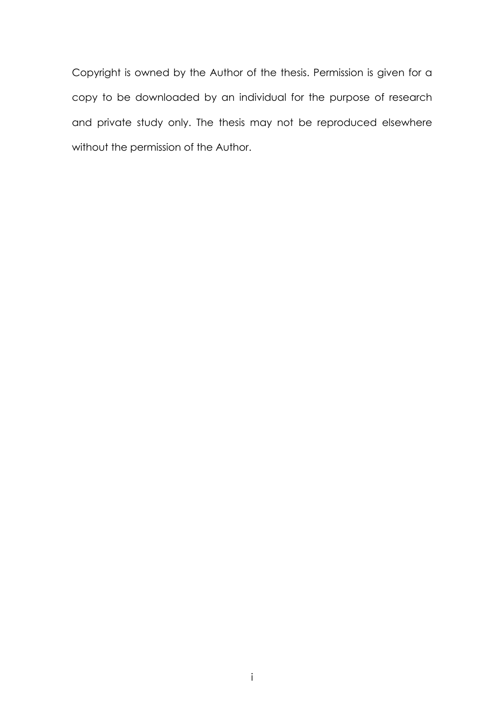Copyright is owned by the Author of the thesis. Permission is given for a copy to be downloaded by an individual for the purpose of research and private study only. The thesis may not be reproduced elsewhere without the permission of the Author.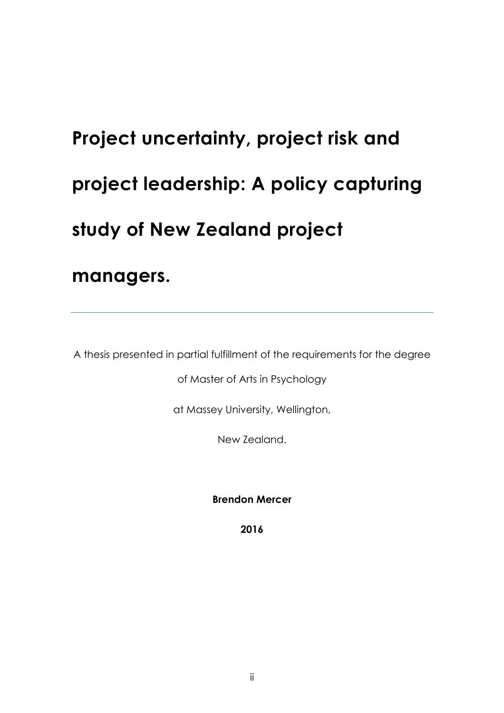# **Project uncertainty, project risk and project leadership: A policy capturing study of New Zealand project managers.**

A thesis presented in partial fulfillment of the requirements for the degree

of Master of Arts in Psychology

at Massey University, Wellington,

New Zealand.

**Brendon Mercer**

**2016**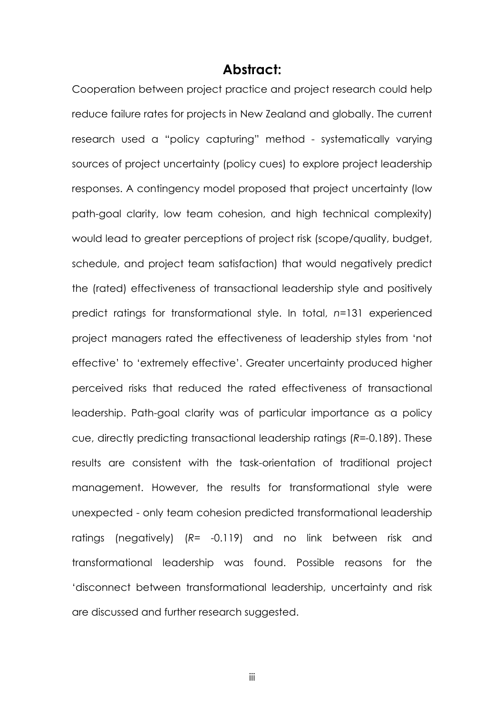#### **Abstract:**

Cooperation between project practice and project research could help reduce failure rates for projects in New Zealand and globally. The current research used a "policy capturing" method - systematically varying sources of project uncertainty (policy cues) to explore project leadership responses. A contingency model proposed that project uncertainty (low path-goal clarity, low team cohesion, and high technical complexity) would lead to greater perceptions of project risk (scope/quality, budget, schedule, and project team satisfaction) that would negatively predict the (rated) effectiveness of transactional leadership style and positively predict ratings for transformational style. In total, *n*=131 experienced project managers rated the effectiveness of leadership styles from 'not effective' to 'extremely effective'. Greater uncertainty produced higher perceived risks that reduced the rated effectiveness of transactional leadership. Path-goal clarity was of particular importance as a policy cue, directly predicting transactional leadership ratings (*R=-*0.189). These results are consistent with the task-orientation of traditional project management. However, the results for transformational style were unexpected - only team cohesion predicted transformational leadership ratings (negatively) (*R*= -0.119) and no link between risk and transformational leadership was found. Possible reasons for the 'disconnect between transformational leadership, uncertainty and risk are discussed and further research suggested.

iii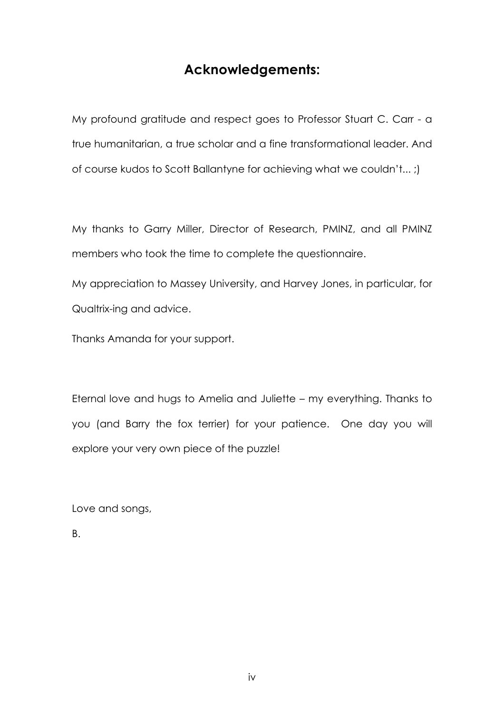### **Acknowledgements:**

My profound gratitude and respect goes to Professor Stuart C. Carr - a true humanitarian, a true scholar and a fine transformational leader. And of course kudos to Scott Ballantyne for achieving what we couldn't... ;)

My thanks to Garry Miller, Director of Research, PMINZ, and all PMINZ members who took the time to complete the questionnaire.

My appreciation to Massey University, and Harvey Jones, in particular, for Qualtrix-ing and advice.

Thanks Amanda for your support.

Eternal love and hugs to Amelia and Juliette – my everything. Thanks to you (and Barry the fox terrier) for your patience. One day you will explore your very own piece of the puzzle!

Love and songs,

B.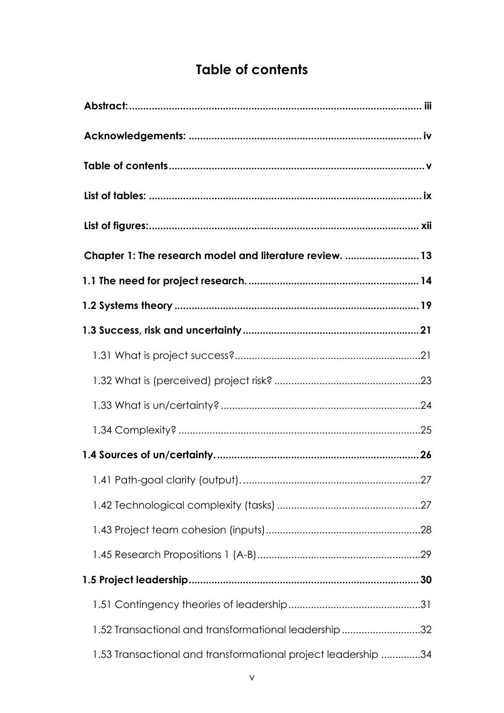## **Table of contents**

| Chapter 1: The research model and literature review.  13      |
|---------------------------------------------------------------|
|                                                               |
|                                                               |
|                                                               |
|                                                               |
|                                                               |
|                                                               |
|                                                               |
|                                                               |
|                                                               |
|                                                               |
|                                                               |
|                                                               |
|                                                               |
|                                                               |
| 1.52 Transactional and transformational leadership 32         |
| 1.53 Transactional and transformational project leadership 34 |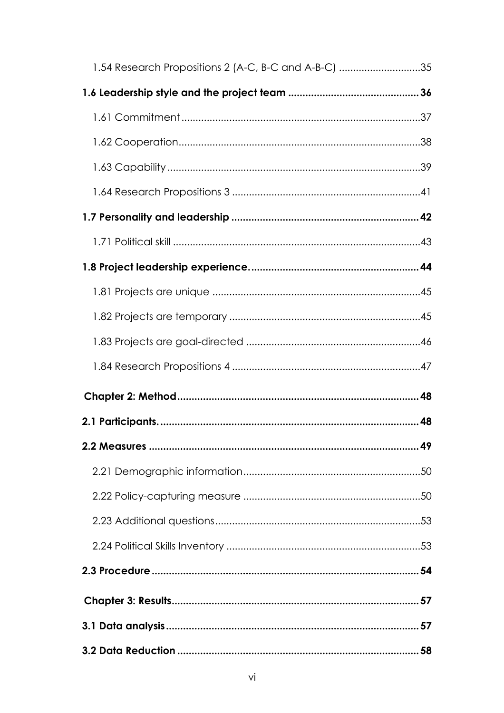| 1.54 Research Propositions 2 (A-C, B-C and A-B-C) 35 |  |
|------------------------------------------------------|--|
|                                                      |  |
|                                                      |  |
|                                                      |  |
|                                                      |  |
|                                                      |  |
|                                                      |  |
|                                                      |  |
|                                                      |  |
|                                                      |  |
|                                                      |  |
|                                                      |  |
|                                                      |  |
|                                                      |  |
|                                                      |  |
|                                                      |  |
|                                                      |  |
|                                                      |  |
|                                                      |  |
|                                                      |  |
|                                                      |  |
|                                                      |  |
|                                                      |  |
|                                                      |  |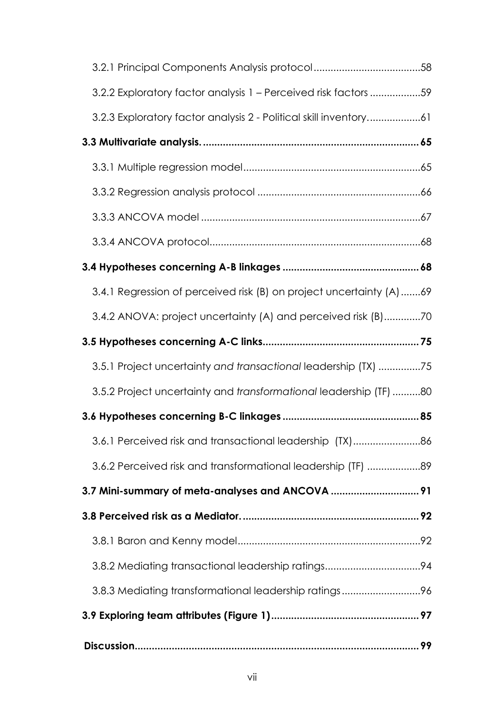| 3.2.2 Exploratory factor analysis 1 - Perceived risk factors59      |
|---------------------------------------------------------------------|
| 3.2.3 Exploratory factor analysis 2 - Political skill inventory61   |
|                                                                     |
|                                                                     |
|                                                                     |
|                                                                     |
|                                                                     |
|                                                                     |
| 3.4.1 Regression of perceived risk (B) on project uncertainty (A)69 |
| 3.4.2 ANOVA: project uncertainty (A) and perceived risk (B)70       |
|                                                                     |
| 3.5.1 Project uncertainty and transactional leadership (TX) 75      |
| 3.5.2 Project uncertainty and transformational leadership (TF) 80   |
|                                                                     |
| 3.6.1 Perceived risk and transactional leadership (TX)86            |
| 3.6.2 Perceived risk and transformational leadership (TF) 89        |
| 3.7 Mini-summary of meta-analyses and ANCOVA  91                    |
|                                                                     |
|                                                                     |
|                                                                     |
| 3.8.3 Mediating transformational leadership ratings96               |
|                                                                     |
|                                                                     |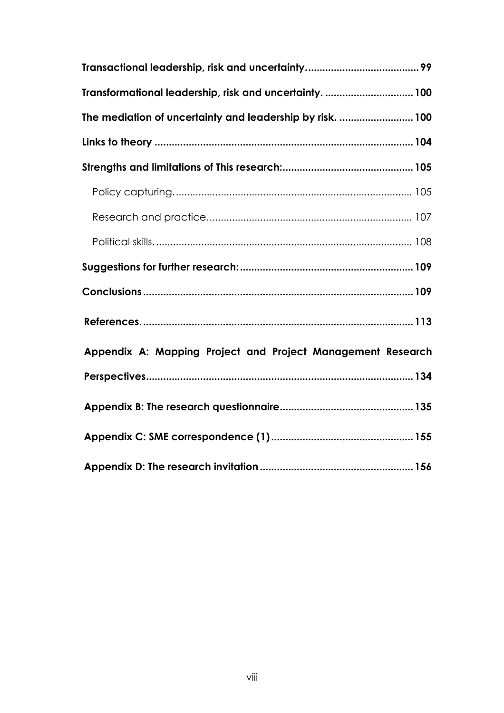| Transformational leadership, risk and uncertainty.  100     |  |
|-------------------------------------------------------------|--|
| The mediation of uncertainty and leadership by risk.  100   |  |
|                                                             |  |
|                                                             |  |
|                                                             |  |
|                                                             |  |
|                                                             |  |
|                                                             |  |
|                                                             |  |
|                                                             |  |
| Appendix A: Mapping Project and Project Management Research |  |
|                                                             |  |
|                                                             |  |
|                                                             |  |
|                                                             |  |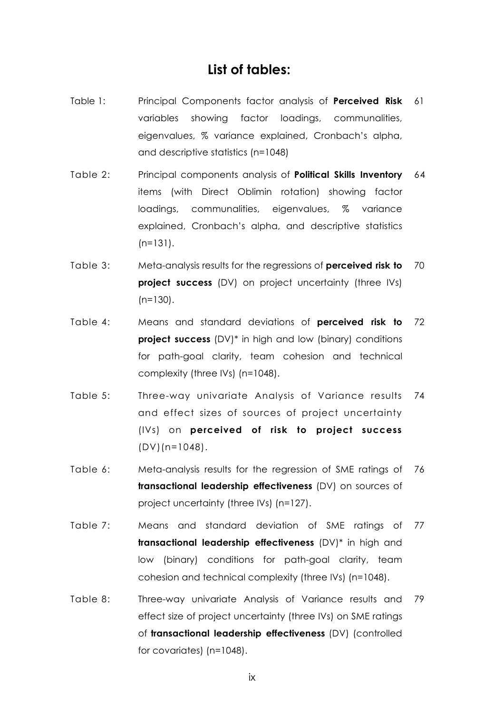#### **List of tables:**

- Table 1: Principal Components factor analysis of **Perceived Risk** 61 variables showing factor loadings, communalities, eigenvalues, % variance explained, Cronbach's alpha, and descriptive statistics (n=1048)
- Table 2: Principal components analysis of **Political Skills Inventory** 64 items (with Direct Oblimin rotation) showing factor loadings, communalities, eigenvalues, % variance explained, Cronbach's alpha, and descriptive statistics (n=131).
- Table 3: Meta-analysis results for the regressions of **perceived risk to project success** (DV) on project uncertainty (three IVs)  $(n=130)$ . 70
- Table 4: Means and standard deviations of **perceived risk to project success** (DV)<sup>\*</sup> in high and low (binary) conditions for path-goal clarity, team cohesion and technical complexity (three IVs) (n=1048). 72
- Table 5: Three-way univariate Analysis of Variance results 74 and effect sizes of sources of project uncertainty (IVs) on **perceived of risk to project success**  $(DV)(n=1048)$ .
- Table 6: Meta-analysis results for the regression of SME ratings of 76 **transactional leadership effectiveness** (DV) on sources of project uncertainty (three IVs) (n=127).
- Table 7: Means and standard deviation of SME ratings of 77 **transactional leadership effectiveness** (DV)\* in high and low (binary) conditions for path-goal clarity, team cohesion and technical complexity (three IVs) (n=1048).
- Table 8: Three-way univariate Analysis of Variance results and 79effect size of project uncertainty (three IVs) on SME ratings of **transactional leadership effectiveness** (DV) (controlled for covariates) (n=1048).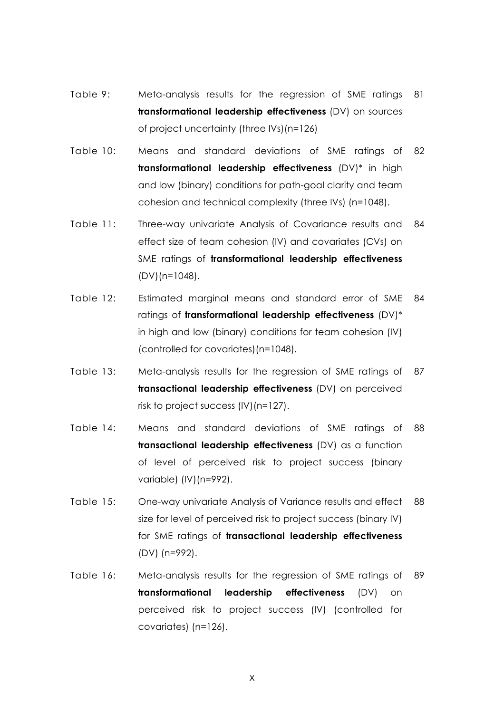- Table 9: Meta-analysis results for the regression of SME ratings **transformational leadership effectiveness** (DV) on sources of project uncertainty (three IVs)(n=126) 81
- Table 10: Means and standard deviations of SME ratings of **transformational leadership effectiveness** (DV)\* in high and low (binary) conditions for path-goal clarity and team cohesion and technical complexity (three IVs) (n=1048). 82
- Table 11: Three-way univariate Analysis of Covariance results and effect size of team cohesion (IV) and covariates (CVs) on SME ratings of **transformational leadership effectiveness** (DV)(n=1048). 84
- Table 12: Estimated marginal means and standard error of SME ratings of **transformational leadership effectiveness** (DV)\* in high and low (binary) conditions for team cohesion (IV) (controlled for covariates)(n=1048). 84
- Table 13: Meta-analysis results for the regression of SME ratings of **transactional leadership effectiveness** (DV) on perceived risk to project success (IV)(n=127). 87
- Table 14: Means and standard deviations of SME ratings of **transactional leadership effectiveness** (DV) as a function of level of perceived risk to project success (binary variable) (IV)(n=992). 88
- Table 15: One-way univariate Analysis of Variance results and effect size for level of perceived risk to project success (binary IV) for SME ratings of **transactional leadership effectiveness** (DV) (n=992). 88
- Table 16: Meta-analysis results for the regression of SME ratings of 89**transformational leadership effectiveness** (DV) on perceived risk to project success (IV) (controlled for covariates) (n=126).

x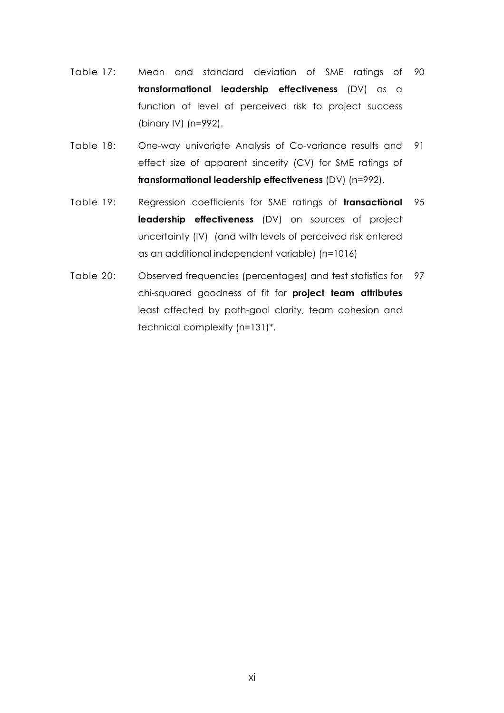- Table 17: Mean and standard deviation of SME ratings of 90 **transformational leadership effectiveness** (DV) as a function of level of perceived risk to project success (binary IV) (n=992).
- Table 18: One-way univariate Analysis of Co-variance results and 91 effect size of apparent sincerity (CV) for SME ratings of **transformational leadership effectiveness** (DV) (n=992).
- Table 19: Regression coefficients for SME ratings of **transactional leadership effectiveness** (DV) on sources of project uncertainty (IV) (and with levels of perceived risk entered as an additional independent variable) (n=1016) 95
- Table 20: Observed frequencies (percentages) and test statistics for 97chi-squared goodness of fit for **project team attributes** least affected by path-goal clarity, team cohesion and technical complexity (n=131)\*.